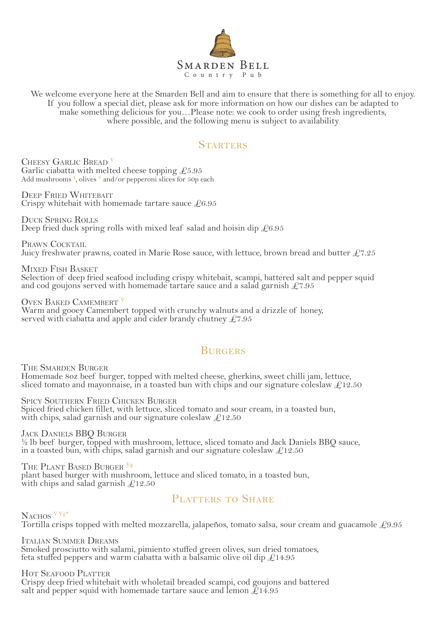

We welcome everyone here at the Smarden Bell and aim to ensure that there is something for all to enjoy. If you follow a special diet, please ask for more information on how our dishes can be adapted to make something delicious for you…Please note: we cook to order using fresh ingredients, where possible, and the following menu is subject to availability

#### **STARTERS**

CHEESY GARLIC BREAD <sup>V</sup> Garlic ciabatta with melted cheese topping  $£5.95$ Add mushrooms <sup>v</sup>, olives <sup>v</sup> and/or pepperoni slices for 50p each

DEEP FRIED WHITEBAIT Crispy whitebait with homemade tartare sauce  $£6.95$ 

DUCK SPRING ROLLS Deep fried duck spring rolls with mixed leaf salad and hoisin dip  $\text{\textsterling}6.95$ 

PRAWN COCKTAIL Juicy freshwater prawns, coated in Marie Rose sauce, with lettuce, brown bread and butter  $£7.25$ 

MIXED FISH BASKET Selection of deep fried seafood including crispy whitebait, scampi, battered salt and pepper squid and cod goujons served with homemade tartare sauce and a salad garnish  $\mathcal{L}7.95$ 

OVEN BAKED CAMEMBERT<sup>V</sup> Warm and gooey Camembert topped with crunchy walnuts and a drizzle of honey, served with ciabatta and apple and cider brandy chutney  $\pounds$ 7.95

#### **BURGERS**

THE SMARDEN BURGER Homemade 8oz beef burger, topped with melted cheese, gherkins, sweet chilli jam, lettuce, sliced tomato and mayonnaise, in a toasted bun with chips and our signature coleslaw  $\mathcal{L}12.50$ 

SPICY SOUTHERN FRIED CHICKEN BURGER Spiced fried chicken fillet, with lettuce, sliced tomato and sour cream, in a toasted bun, with chips, salad garnish and our signature coleslaw  $\mathcal{L}12.50$ 

JACK DANIELS BBQ BURGER <sup>1/2</sup> lb beef burger, topped with mushroom, lettuce, sliced tomato and Jack Daniels BBQ sauce, in a toasted bun, with chips, salad garnish and our signature coleslaw  $\pounds$ 12.50

THE PLANT BASED BURGER Vg plant based burger with mushroom, lettuce and sliced tomato, in a toasted bun, with chips and salad garnish  $\text{\textsterling}12.50$ 

## PLATTERS TO SHARE

NACHOS <sup>V Vg\*</sup> Tortilla crisps topped with melted mozzarella, jalapeños, tomato salsa, sour cream and guacamole  $£9.95$ 

ITALIAN SUMMER DREAMS Smoked prosciutto with salami, pimiento stuffed green olives, sun dried tomatoes, feta stuffed peppers and warm ciabatta with a balsamic olive oil dip £14.95

HOT SEAFOOD PLATTER Crispy deep fried whitebait with wholetail breaded scampi, cod goujons and battered salt and pepper squid with homemade tartare sauce and lemon  $E14.95$